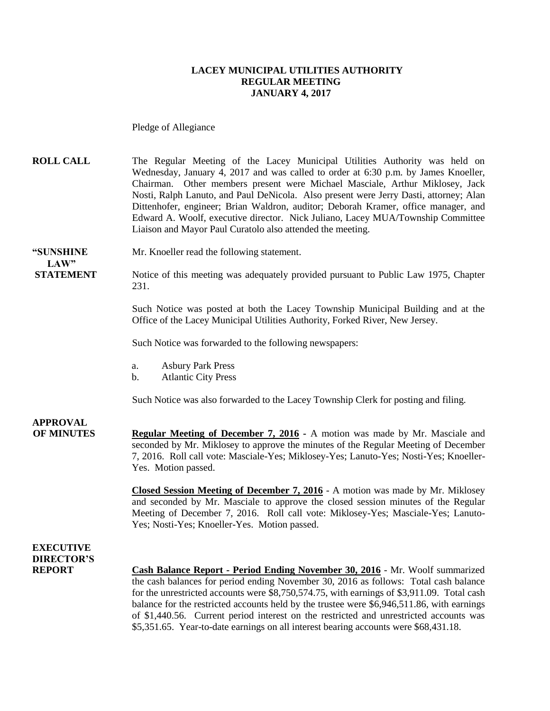#### **LACEY MUNICIPAL UTILITIES AUTHORITY REGULAR MEETING JANUARY 4, 2017**

Pledge of Allegiance

**ROLL CALL** The Regular Meeting of the Lacey Municipal Utilities Authority was held on Wednesday, January 4, 2017 and was called to order at 6:30 p.m. by James Knoeller, Chairman. Other members present were Michael Masciale, Arthur Miklosey, Jack Nosti, Ralph Lanuto, and Paul DeNicola. Also present were Jerry Dasti, attorney; Alan Dittenhofer, engineer; Brian Waldron, auditor; Deborah Kramer, office manager, and Edward A. Woolf, executive director. Nick Juliano, Lacey MUA/Township Committee Liaison and Mayor Paul Curatolo also attended the meeting.

**"SUNSHINE** Mr. Knoeller read the following statement. **LAW"** 

**STATEMENT** Notice of this meeting was adequately provided pursuant to Public Law 1975, Chapter 231.

> Such Notice was posted at both the Lacey Township Municipal Building and at the Office of the Lacey Municipal Utilities Authority, Forked River, New Jersey.

Such Notice was forwarded to the following newspapers:

- a. Asbury Park Press
- b. Atlantic City Press

Such Notice was also forwarded to the Lacey Township Clerk for posting and filing.

**APPROVAL OF MINUTES Regular Meeting of December 7, 2016 -** A motion was made by Mr. Masciale and seconded by Mr. Miklosey to approve the minutes of the Regular Meeting of December 7, 2016. Roll call vote: Masciale-Yes; Miklosey-Yes; Lanuto-Yes; Nosti-Yes; Knoeller-Yes. Motion passed.

> **Closed Session Meeting of December 7, 2016** - A motion was made by Mr. Miklosey and seconded by Mr. Masciale to approve the closed session minutes of the Regular Meeting of December 7, 2016. Roll call vote: Miklosey-Yes; Masciale-Yes; Lanuto-Yes; Nosti-Yes; Knoeller-Yes. Motion passed.

#### **EXECUTIVE DIRECTOR'S**

**REPORT Cash Balance Report - Period Ending November 30, 2016** - Mr. Woolf summarized the cash balances for period ending November 30, 2016 as follows: Total cash balance for the unrestricted accounts were \$8,750,574.75, with earnings of \$3,911.09. Total cash balance for the restricted accounts held by the trustee were \$6,946,511.86, with earnings of \$1,440.56. Current period interest on the restricted and unrestricted accounts was \$5,351.65. Year-to-date earnings on all interest bearing accounts were \$68,431.18.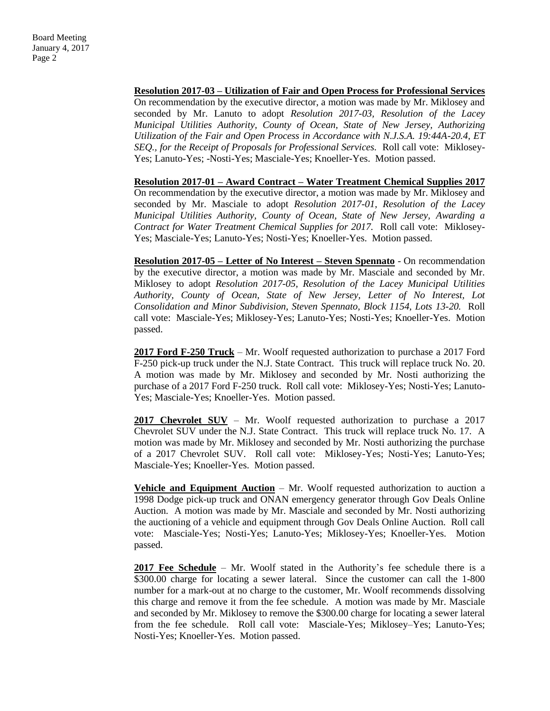**Resolution 2017-03 – Utilization of Fair and Open Process for Professional Services** On recommendation by the executive director, a motion was made by Mr. Miklosey and seconded by Mr. Lanuto to adopt *Resolution 2017-03, Resolution of the Lacey Municipal Utilities Authority, County of Ocean, State of New Jersey, Authorizing Utilization of the Fair and Open Process in Accordance with N.J.S.A. 19:44A-20.4, ET SEQ., for the Receipt of Proposals for Professional Services.* Roll call vote: Miklosey-Yes; Lanuto-Yes; -Nosti-Yes; Masciale-Yes; Knoeller-Yes. Motion passed.

**Resolution 2017-01 – Award Contract – Water Treatment Chemical Supplies 2017** On recommendation by the executive director, a motion was made by Mr. Miklosey and seconded by Mr. Masciale to adopt *Resolution 2017-01, Resolution of the Lacey Municipal Utilities Authority, County of Ocean, State of New Jersey, Awarding a Contract for Water Treatment Chemical Supplies for 2017.* Roll call vote: Miklosey-Yes; Masciale-Yes; Lanuto-Yes; Nosti-Yes; Knoeller-Yes. Motion passed.

**Resolution 2017-05 – Letter of No Interest – Steven Spennato** - On recommendation by the executive director, a motion was made by Mr. Masciale and seconded by Mr. Miklosey to adopt *Resolution 2017-05, Resolution of the Lacey Municipal Utilities Authority, County of Ocean, State of New Jersey, Letter of No Interest, Lot Consolidation and Minor Subdivision, Steven Spennato, Block 1154, Lots 13-20.* Roll call vote: Masciale-Yes; Miklosey-Yes; Lanuto-Yes; Nosti-Yes; Knoeller-Yes. Motion passed.

**2017 Ford F-250 Truck** – Mr. Woolf requested authorization to purchase a 2017 Ford F-250 pick-up truck under the N.J. State Contract. This truck will replace truck No. 20. A motion was made by Mr. Miklosey and seconded by Mr. Nosti authorizing the purchase of a 2017 Ford F-250 truck. Roll call vote: Miklosey-Yes; Nosti-Yes; Lanuto-Yes; Masciale-Yes; Knoeller-Yes. Motion passed.

**2017 Chevrolet SUV** – Mr. Woolf requested authorization to purchase a 2017 Chevrolet SUV under the N.J. State Contract. This truck will replace truck No. 17. A motion was made by Mr. Miklosey and seconded by Mr. Nosti authorizing the purchase of a 2017 Chevrolet SUV. Roll call vote: Miklosey-Yes; Nosti-Yes; Lanuto-Yes; Masciale-Yes; Knoeller-Yes. Motion passed.

**<u>Vehicle and Equipment Auction</u>** – Mr. Woolf requested authorization to auction a 1998 Dodge pick-up truck and ONAN emergency generator through Gov Deals Online Auction. A motion was made by Mr. Masciale and seconded by Mr. Nosti authorizing the auctioning of a vehicle and equipment through Gov Deals Online Auction. Roll call vote: Masciale-Yes; Nosti-Yes; Lanuto-Yes; Miklosey-Yes; Knoeller-Yes. Motion passed.

**2017 Fee Schedule** – Mr. Woolf stated in the Authority's fee schedule there is a \$300.00 charge for locating a sewer lateral. Since the customer can call the 1-800 number for a mark-out at no charge to the customer, Mr. Woolf recommends dissolving this charge and remove it from the fee schedule. A motion was made by Mr. Masciale and seconded by Mr. Miklosey to remove the \$300.00 charge for locating a sewer lateral from the fee schedule. Roll call vote: Masciale-Yes; Miklosey–Yes; Lanuto-Yes; Nosti-Yes; Knoeller-Yes. Motion passed.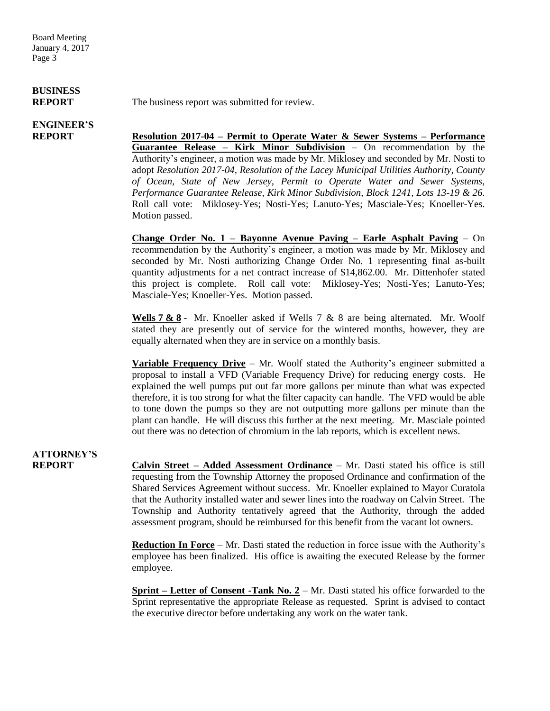# **BUSINESS**

# **ENGINEER'S**

**REPORT** The business report was submitted for review.

**REPORT Resolution 2017-04 – Permit to Operate Water & Sewer Systems – Performance Guarantee Release – Kirk Minor Subdivision** – On recommendation by the Authority's engineer, a motion was made by Mr. Miklosey and seconded by Mr. Nosti to adopt *Resolution 2017-04, Resolution of the Lacey Municipal Utilities Authority, County of Ocean, State of New Jersey, Permit to Operate Water and Sewer Systems, Performance Guarantee Release, Kirk Minor Subdivision, Block 1241, Lots 13-19 & 26.*  Roll call vote: Miklosey-Yes; Nosti-Yes; Lanuto-Yes; Masciale-Yes; Knoeller-Yes. Motion passed.

> **Change Order No. 1 – Bayonne Avenue Paving – Earle Asphalt Paving** – On recommendation by the Authority's engineer, a motion was made by Mr. Miklosey and seconded by Mr. Nosti authorizing Change Order No. 1 representing final as-built quantity adjustments for a net contract increase of \$14,862.00. Mr. Dittenhofer stated this project is complete. Roll call vote: Miklosey-Yes; Nosti-Yes; Lanuto-Yes; Masciale-Yes; Knoeller-Yes. Motion passed.

> **Wells 7 & 8** - Mr. Knoeller asked if Wells 7 & 8 are being alternated. Mr. Woolf stated they are presently out of service for the wintered months, however, they are equally alternated when they are in service on a monthly basis.

> **Variable Frequency Drive** – Mr. Woolf stated the Authority's engineer submitted a proposal to install a VFD (Variable Frequency Drive) for reducing energy costs. He explained the well pumps put out far more gallons per minute than what was expected therefore, it is too strong for what the filter capacity can handle. The VFD would be able to tone down the pumps so they are not outputting more gallons per minute than the plant can handle. He will discuss this further at the next meeting. Mr. Masciale pointed out there was no detection of chromium in the lab reports, which is excellent news.

# **ATTORNEY'S**

**REPORT Calvin Street – Added Assessment Ordinance** – Mr. Dasti stated his office is still requesting from the Township Attorney the proposed Ordinance and confirmation of the Shared Services Agreement without success. Mr. Knoeller explained to Mayor Curatola that the Authority installed water and sewer lines into the roadway on Calvin Street. The Township and Authority tentatively agreed that the Authority, through the added assessment program, should be reimbursed for this benefit from the vacant lot owners.

> **Reduction In Force** – Mr. Dasti stated the reduction in force issue with the Authority's employee has been finalized. His office is awaiting the executed Release by the former employee.

> **Sprint – Letter of Consent -Tank No. 2 – Mr.** Dasti stated his office forwarded to the Sprint representative the appropriate Release as requested. Sprint is advised to contact the executive director before undertaking any work on the water tank.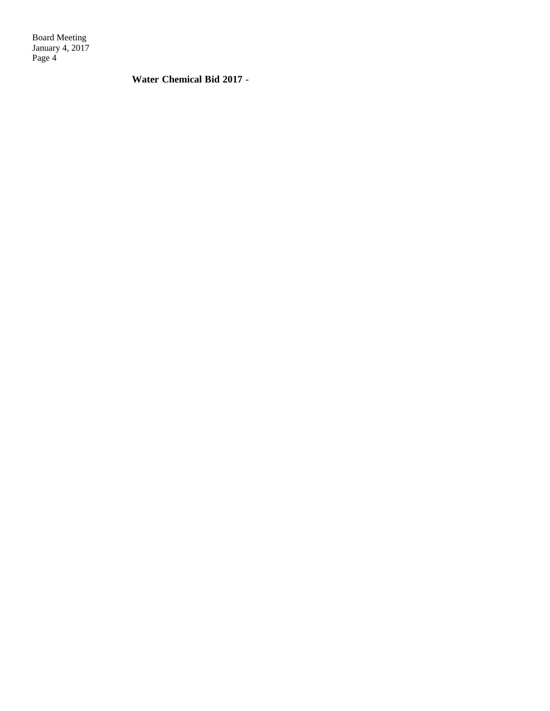**Water Chemical Bid 2017** -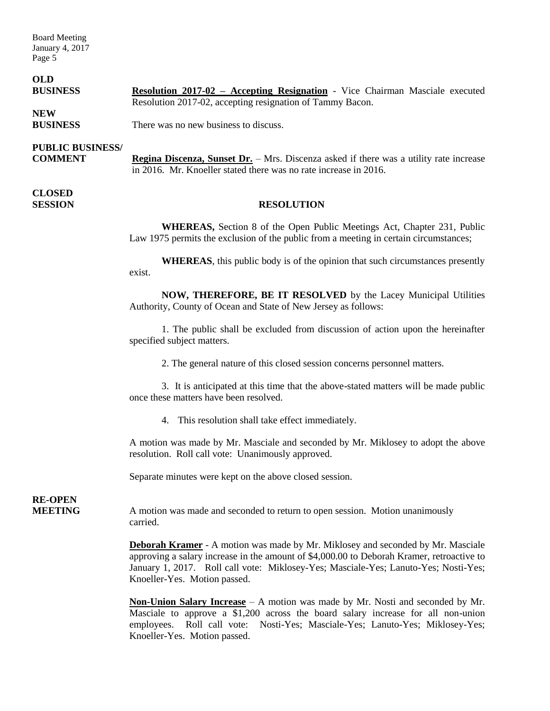#### **OLD**

| <b>BUSINESS</b> | <b>Resolution 2017-02 - Accepting Resignation - Vice Chairman Masciale executed</b> |
|-----------------|-------------------------------------------------------------------------------------|
|                 | Resolution 2017-02, accepting resignation of Tammy Bacon.                           |
| <b>NEW</b>      |                                                                                     |

**BUSINESS** There was no new business to discuss.

### **PUBLIC BUSINESS/**

**COMMENT Regina Discenza, Sunset Dr.** – Mrs. Discenza asked if there was a utility rate increase in 2016. Mr. Knoeller stated there was no rate increase in 2016.

**CLOSED** 

#### **SESSION RESOLUTION**

**WHEREAS,** Section 8 of the Open Public Meetings Act, Chapter 231, Public Law 1975 permits the exclusion of the public from a meeting in certain circumstances;

**WHEREAS**, this public body is of the opinion that such circumstances presently exist.

**NOW, THEREFORE, BE IT RESOLVED** by the Lacey Municipal Utilities Authority, County of Ocean and State of New Jersey as follows:

1. The public shall be excluded from discussion of action upon the hereinafter specified subject matters.

2. The general nature of this closed session concerns personnel matters.

3. It is anticipated at this time that the above-stated matters will be made public once these matters have been resolved.

4. This resolution shall take effect immediately.

A motion was made by Mr. Masciale and seconded by Mr. Miklosey to adopt the above resolution. Roll call vote: Unanimously approved.

Separate minutes were kept on the above closed session.

**RE-OPEN**

**MEETING** A motion was made and seconded to return to open session. Motion unanimously carried.

> **Deborah Kramer** - A motion was made by Mr. Miklosey and seconded by Mr. Masciale approving a salary increase in the amount of \$4,000.00 to Deborah Kramer, retroactive to January 1, 2017. Roll call vote: Miklosey-Yes; Masciale-Yes; Lanuto-Yes; Nosti-Yes; Knoeller-Yes. Motion passed.

> **Non-Union Salary Increase** – A motion was made by Mr. Nosti and seconded by Mr. Masciale to approve a \$1,200 across the board salary increase for all non-union employees. Roll call vote: Nosti-Yes; Masciale-Yes; Lanuto-Yes; Miklosey-Yes; Knoeller-Yes. Motion passed.